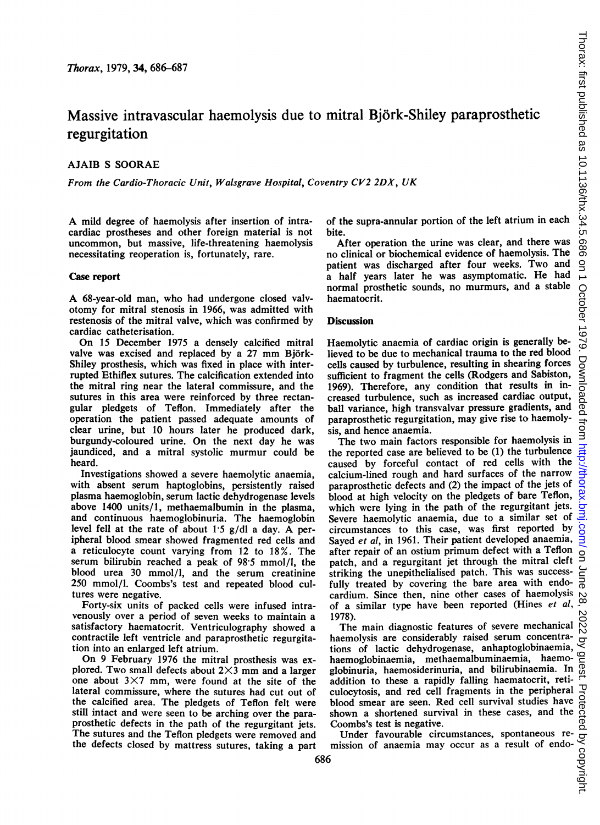# Massive intravascular haemolysis due to mitral Bjork-Shiley paraprosthetic regurgitation

# AJAIB S SOORAE

From the Cardio-Thoracic Unit, Walsgrave Hospital, Coventry CV2 2DX, UK

A mild degree of haemolysis after insertion of intracardiac prostheses and other foreign material is not uncommon, but massive, life-threatening haemolysis necessitating reoperation is, fortunately, rare.

### Case report

A 68-year-old man, who had undergone closed valvotomy for mitral stenosis in 1966, was admitted with restenosis of the mitral valve, which was confirmed by cardiac catheterisation.

On <sup>15</sup> December 1975 a densely calcified mitral valve was excised and replaced by a 27 mm Björk-Shiley prosthesis, which was fixed in place with interrupted Ethiflex sutures. The calcification extended into the mitral ring near the lateral commissure, and the sutures in this area were reinforced by three rectangular pledgets of Teflon. Immediately after the operation the patient passed adequate amounts of clear urine, but 10 hours later he produced dark, burgundy-coloured urine. On the next day he was jaundiced, and a mitral systolic murmur could be heard.

Investigations showed a severe haemolytic anaemia, with absent serum haptoglobins, persistently raised plasma haemoglobin, serum lactic dehydrogenase levels above 1400 units/I, methaemalbumin in the plasma, and continuous haemoglobinuria. The haemoglobin level fell at the rate of about 1-5 g/dl <sup>a</sup> day. A peripheral blood smear showed fragmented red cells and a reticulocyte count varying from 12 to 18%. The serum bilirubin reached a peak of 98.5 mmol/l, the blood urea 30 mmol/l, and the serum creatinine 250 mmol/l. Coombs's test and repeated blood cultures were negative.

Forty-six units of packed cells were infused intravenously over a period of seven weeks to maintain a satisfactory haematocrit. Ventriculography showed a contractile left ventricle and paraprosthetic regurgitation into an enlarged left atrium.

On 9 February 1976 the mitral prosthesis was explored. Two small defects about  $2\times3$  mm and a larger one about  $3 \times 7$  mm, were found at the site of the lateral commissure, where the sutures had cut out of the calcified area. The pledgets of Teflon felt were still intact and were seen to be arching over the paraprosthetic defects in the path of the regurgitant jets. The sutures and the Teflon pledgets were removed and the defects closed by mattress sutures, taking a part

of the supra-annular portion of the left atrium in each bite.

After operation the urine was clear, and there was no clinical or biochemical evidence of haemolysis. The patient was discharged after four weeks. Two and a half years later he was asymptomatic. He had normal prosthetic sounds, no murmurs, and a stable haematocrit.

#### **Discussion**

Haemolytic anaemia of cardiac origin is generally believed to be due to mechanical trauma to the red blood cells caused by turbulence, resulting in shearing forces sufficient to fragment the cells (Rodgers and Sabiston, 1969). Therefore, any condition that results in increased turbulence, such as increased cardiac output, ball variance, high transvalvar pressure gradients, and paraprosthetic regurgitation, may give rise to haemolysis, and hence anaemia.

The two main factors responsible for haemolysis in the reported case are believed to be (1) the turbulence caused by forceful contact of red cells with the calcium-lined rough and hard surfaces of the narrow paraprosthetic defects and (2) the impact of the jets of blood at high velocity on the pledgets of bare Teflon, which were lying in the path of the regurgitant jets. Severe haemolytic anaemia, due to a similar set of circumstances to this case, was first reported by Sayed et al, in 1961. Their patient developed anaemia, after repair of an ostium primum defect with a Teflon patch, and a regurgitant jet through the mitral cleft striking the unepithelialised patch. This was successfully treated by covering the bare area with endocardium. Since then, nine other cases of haemolysis of a similar type have been reported (Hines et al, 1978).

The main diagnostic features of severe mechanical haemolysis are considerably raised serum concentrations of lactic dehydrogenase, anhaptoglobinaemia, haemoglobinaemia, methaemalbuminaemia, haemoglobinuria, haemosiderinuria, and bilirubinaemia. In addition to these a rapidly falling haematocrit, reticulocytosis, and red cell fragments in the peripheral D<br>blood smear are seen. Red cell survival studies have<br>shown a shortened survival in these cases, and the orient<br>Coombs's test is negative.<br>Under favourable circumstanc blood smear are seen. Red cell survival studies have shown a shortened survival in these cases, and the Coombs's test is negative.

Under favourable circumstances, spontaneous remission of anaemia may occur as a result of endo-